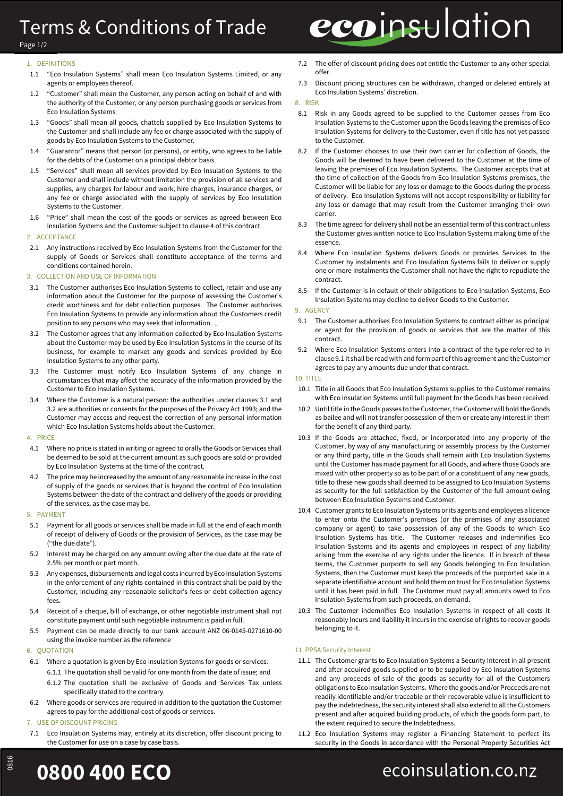## Terms & Conditions of Trade

# ecoinsulation

#### Page 1/2

#### 1. DEFINITIONS

- 1.1 "Eco Insulation Systems" shall mean Eco Insulation Systems Limited, or any agents or employees thereof.
- 1.2 "Customer" shall mean the Customer, any person acting on behalf of and with the authority of the Customer, or any person purchasing goods or services from Eco Insulation Systems.
- 1.3 "Goods" shall mean all goods, chattels supplied by Eco Insulation Systems to the Customer and shall include any fee or charge associated with the supply of goods by Eco Insulation Systems to the Customer.
- 1.4 "Guarantor" means that person (or persons), or entity, who agrees to be liable for the debts of the Customer on a principal debtor basis.
- 1.5 "Services" shall mean all services provided by Eco Insulation Systems to the Customer and shall include without limitation the provision of all services and supplies, any charges for labour and work, hire charges, insurance charges, or any fee or charge associated with the supply of services by Eco Insulation Systems to the Customer.
- 1.6 "Price" shall mean the cost of the goods or services as agreed between Eco Insulation Systems and the Customer subject to clause 4 of this contract.

#### 2. ACCEPTANCE

2.1 Any instructions received by Eco Insulation Systems from the Customer for the supply of Goods or Services shall constitute acceptance of the terms and conditions contained herein.

#### 3. COLLECTION AND USE OF INFORMATION

- 3.1 The Customer authorises Eco Insulation Systems to collect, retain and use any information about the Customer for the purpose of assessing the Customer's credit worthiness and for debt collection purposes. The Customer authorises Eco Insulation Systems to provide any information about the Customers credit position to any persons who may seek that information. ,
- 3.2 The Customer agrees that any information collected by Eco Insulation Systems about the Customer may be used by Eco Insulation Systems in the course of its business, for example to market any goods and services provided by Eco Insulation Systems to any other party.
- 3.3 The Customer must notify Eco Insulation Systems of any change in circumstances that may affect the accuracy of the information provided by the Customer to Eco Insulation Systems.
- 3.4 Where the Customer is a natural person: the authorities under clauses 3.1 and 3.2 are authorities or consents for the purposes of the Privacy Act 1993; and the Customer may access and request the correction of any personal information which Eco Insulation Systems holds about the Customer.

#### 4. PRICE

- 4.1 Where no price is stated in writing or agreed to orally the Goods or Services shall be deemed to be sold at the current amount as such goods are sold or provided by Eco Insulation Systems at the time of the contract.
- 4.2 The price may be increased by the amount of any reasonable increase in the cost of supply of the goods or services that is beyond the control of Eco Insulation Systems between the date of the contract and delivery of the goods or providing of the services, as the case may be.

#### 5. PAYMENT

- 5.1 Payment for all goods or services shall be made in full at the end of each month of receipt of delivery of Goods or the provision of Services, as the case may be ("the due date").
- 5.2 Interest may be charged on any amount owing after the due date at the rate of 2.5% per month or part month.
- 5.3 Any expenses, disbursements and legal costs incurred by Eco Insulation Systems in the enforcement of any rights contained in this contract shall be paid by the Customer, including any reasonable solicitor's fees or debt collection agency fees.
- 5.4 Receipt of a cheque, bill of exchange, or other negotiable instrument shall not constitute payment until such negotiable instrument is paid in full.
- 5.5 Payment can be made directly to our bank account ANZ 06-0145-0271610-00 using the invoice number as the reference

#### 6. QUOTATION

- 6.1 Where a quotation is given by Eco Insulation Systems for goods or services: 6.1.1 The quotation shall be valid for one month from the date of issue; and
	- 6.1.2 The quotation shall be exclusive of Goods and Services Tax unless specifically stated to the contrary.
- 6.2 Where goods or services are required in addition to the quotation the Customer agrees to pay for the additional cost of goods or services.

#### 7. USE OF DISCOUNT PRICING

7.1 Eco Insulation Systems may, entirely at its discretion, offer discount pricing to the Customer for use on a case by case basis.

- 7.2 The offer of discount pricing does not entitle the Customer to any other special offer.
- 7.3 Discount pricing structures can be withdrawn, changed or deleted entirely at Eco Insulation Systems' discretion.

#### 8. RISK

- 8.1 Risk in any Goods agreed to be supplied to the Customer passes from Eco Insulation Systems to the Customer upon the Goods leaving the premises of Eco Insulation Systems for delivery to the Customer, even if title has not yet passed to the Customer.
- 8.2 If the Customer chooses to use their own carrier for collection of Goods, the Goods will be deemed to have been delivered to the Customer at the time of leaving the premises of Eco Insulation Systems. The Customer accepts that at the time of collection of the Goods from Eco Insulation Systems premises, the Customer will be liable for any loss or damage to the Goods during the process of delivery. Eco Insulation Systems will not accept responsibility or liability for any loss or damage that may result from the Customer arranging their own carrier.
- 8.3 The time agreed for delivery shall not be an essential term of this contract unless the Customer gives written notice to Eco Insulation Systems making time of the essence.
- 8.4 Where Eco Insulation Systems delivers Goods or provides Services to the Customer by instalments and Eco Insulation Systems fails to deliver or supply one or more instalments the Customer shall not have the right to repudiate the contract.
- 8.5 If the Customer is in default of their obligations to Eco Insulation Systems, Eco Insulation Systems may decline to deliver Goods to the Customer.

#### 9. AGENCY

- 9.1 The Customer authorises Eco Insulation Systems to contract either as principal or agent for the provision of goods or services that are the matter of this contract.
- 9.2 Where Eco Insulation Systems enters into a contract of the type referred to in clause 9.1 it shall be read with and form part of this agreement and the Customer agrees to pay any amounts due under that contract.

#### 10. TITLE

- 10.1 Title in all Goods that Eco Insulation Systems supplies to the Customer remains with Eco Insulation Systems until full payment for the Goods has been received.
- 10.2 Until title in the Goods passes to the Customer, the Customer will hold the Goods as bailee and will not transfer possession of them or create any interest in them for the benefit of any third party.
- 10.3 If the Goods are attached, fixed, or incorporated into any property of the Customer, by way of any manufacturing or assembly process by the Customer or any third party, title in the Goods shall remain with Eco Insulation Systems until the Customer has made payment for all Goods, and where those Goods are mixed with other property so as to be part of or a constituent of any new goods, title to these new goods shall deemed to be assigned to Eco Insulation Systems as security for the full satisfaction by the Customer of the full amount owing between Eco Insulation Systems and Customer.
- 10.4 Customer grants to Eco Insulation Systems or its agents and employees a licence to enter onto the Customer's premises (or the premises of any associated company or agent) to take possession of any of the Goods to which Eco Insulation Systems has title. The Customer releases and indemnifies Eco Insulation Systems and its agents and employees in respect of any liability arising from the exercise of any rights under the licence. If in breach of these terms, the Customer purports to sell any Goods belonging to Eco Insulation Systems, then the Customer must keep the proceeds of the purported sale in a separate identifiable account and hold them on trust for Eco Insulation Systems until it has been paid in full. The Customer must pay all amounts owed to Eco Insulation Systems from such proceeds, on demand.
- 10.3 The Customer indemnifies Eco Insulation Systems in respect of all costs it reasonably incurs and liability it incurs in the exercise of rights to recover goods belonging to it.

#### 11. PPSA Security Interest

- 11.1 The Customer grants to Eco Insulation Systems a Security Interest in all present and after acquired goods supplied or to be supplied by Eco Insulation Systems and any proceeds of sale of the goods as security for all of the Customers obligations to Eco Insulation Systems. Where the goods and/or Proceeds are not readily identifiable and/or traceable or their recoverable value is insufficient to pay the indebtedness, the security interest shall also extend to all the Customers present and after acquired building products, of which the goods form part, to the extent required to secure the Indebtedness.
- 11.2 Eco Insulation Systems may register a Financing Statement to perfect its security in the Goods in accordance with the Personal Property Securities Act

## O800 400 ECO ecoinsulation.co.nz